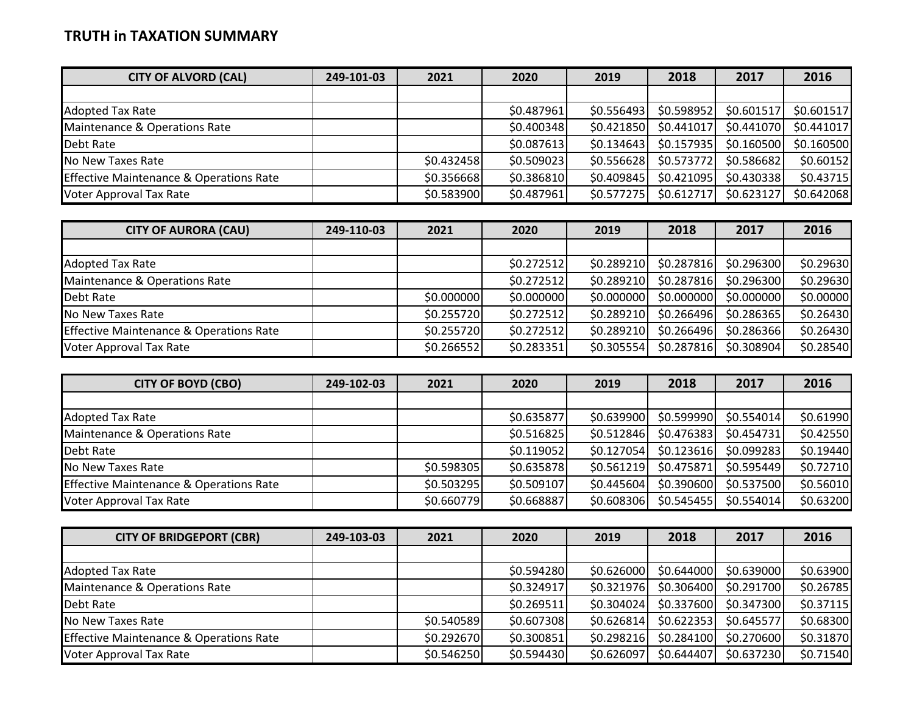## **TRUTH in TAXATION SUMMARY**

| 249-101-03 | 2021 | 2020 | 2019                                   | 2018                                                                             | 2017                                                               | 2016                                                                             |
|------------|------|------|----------------------------------------|----------------------------------------------------------------------------------|--------------------------------------------------------------------|----------------------------------------------------------------------------------|
|            |      |      |                                        |                                                                                  |                                                                    |                                                                                  |
|            |      |      |                                        |                                                                                  | \$0.601517                                                         | \$0.601517                                                                       |
|            |      |      |                                        |                                                                                  | \$0.441070                                                         | \$0.441017                                                                       |
|            |      |      |                                        |                                                                                  | \$0.160500                                                         | \$0.160500                                                                       |
|            |      |      |                                        |                                                                                  | \$0.586682                                                         | \$0.60152                                                                        |
|            |      |      | \$0.409845                             |                                                                                  | \$0.430338                                                         | \$0.43715                                                                        |
|            |      |      |                                        |                                                                                  | \$0.623127                                                         | \$0.642068                                                                       |
|            |      |      | \$0.432458<br>\$0.356668<br>\$0.583900 | \$0.487961<br>\$0.400348<br>\$0.087613<br>\$0.509023<br>\$0.386810<br>\$0.487961 | \$0.556493<br>\$0.421850<br>\$0.134643<br>\$0.556628<br>\$0.577275 | \$0.598952<br>\$0.441017<br>\$0.157935<br>\$0.573772<br>\$0.421095<br>\$0.612717 |

| <b>CITY OF AURORA (CAU)</b>                        | 249-110-03 | 2021       | 2020       | 2019       | 2018       | 2017       | 2016      |
|----------------------------------------------------|------------|------------|------------|------------|------------|------------|-----------|
|                                                    |            |            |            |            |            |            |           |
| <b>Adopted Tax Rate</b>                            |            |            | \$0.272512 | \$0.289210 | \$0.287816 | \$0.296300 | \$0.29630 |
| Maintenance & Operations Rate                      |            |            | \$0.272512 | \$0.289210 | \$0.287816 | \$0.296300 | \$0.29630 |
| Debt Rate                                          |            | \$0.000000 | \$0.000000 | \$0.000000 | \$0.000000 | \$0.000000 | \$0.00000 |
| No New Taxes Rate                                  |            | \$0.255720 | \$0.272512 | \$0.289210 | \$0.266496 | \$0.286365 | \$0.26430 |
| <b>Effective Maintenance &amp; Operations Rate</b> |            | \$0.255720 | \$0.272512 | \$0.289210 | \$0.266496 | \$0.286366 | \$0.26430 |
| Voter Approval Tax Rate                            |            | \$0.266552 | \$0.283351 | \$0.305554 | \$0.287816 | \$0.308904 | \$0.28540 |

| <b>CITY OF BOYD (CBO)</b>                          | 249-102-03 | 2021       | 2020       | 2019        | 2018       | 2017        | 2016      |
|----------------------------------------------------|------------|------------|------------|-------------|------------|-------------|-----------|
|                                                    |            |            |            |             |            |             |           |
| <b>Adopted Tax Rate</b>                            |            |            | \$0.635877 | \$0.639900  | \$0.599990 | \$0.554014] | \$0.61990 |
| Maintenance & Operations Rate                      |            |            | \$0.516825 | \$0.512846  | \$0.476383 | \$0.454731  | \$0.42550 |
| Debt Rate                                          |            |            | \$0.119052 | \$0.127054] | \$0.123616 | \$0.099283  | \$0.19440 |
| No New Taxes Rate                                  |            | \$0.598305 | \$0.635878 | \$0.561219  | \$0.475871 | \$0.595449  | \$0.72710 |
| <b>Effective Maintenance &amp; Operations Rate</b> |            | \$0.503295 | \$0.509107 | \$0.445604  | \$0.390600 | \$0.537500  | \$0.56010 |
| Voter Approval Tax Rate                            |            | \$0.660779 | \$0.668887 | \$0.608306  | \$0.545455 | \$0.554014] | \$0.63200 |

| <b>CITY OF BRIDGEPORT (CBR)</b>                    | 249-103-03 | 2021       | 2020       | 2019       | 2018       | 2017       | 2016      |
|----------------------------------------------------|------------|------------|------------|------------|------------|------------|-----------|
|                                                    |            |            |            |            |            |            |           |
| <b>Adopted Tax Rate</b>                            |            |            | \$0.594280 | \$0.626000 | \$0.644000 | \$0.639000 | \$0.63900 |
| Maintenance & Operations Rate                      |            |            | \$0.324917 | \$0.321976 | \$0.306400 | \$0.291700 | \$0.26785 |
| Debt Rate                                          |            |            | \$0.269511 | \$0.304024 | \$0.337600 | \$0.347300 | \$0.37115 |
| No New Taxes Rate                                  |            | \$0.540589 | \$0.607308 | \$0.626814 | \$0.622353 | \$0.645577 | \$0.68300 |
| <b>Effective Maintenance &amp; Operations Rate</b> |            | \$0.292670 | \$0.300851 | \$0.298216 | \$0.284100 | \$0.270600 | \$0.31870 |
| Voter Approval Tax Rate                            |            | \$0.546250 | \$0.594430 | \$0.626097 | \$0.644407 | \$0.637230 | \$0.71540 |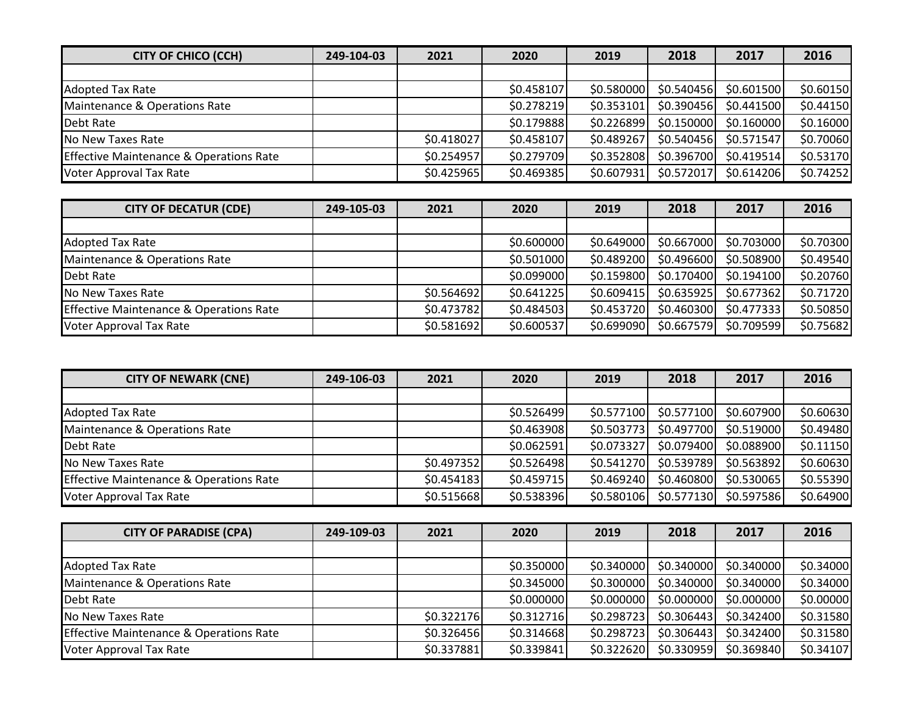| <b>CITY OF CHICO (CCH)</b>                         | 249-104-03 | 2021       | 2020       | 2019       | 2018       | 2017        | 2016      |
|----------------------------------------------------|------------|------------|------------|------------|------------|-------------|-----------|
|                                                    |            |            |            |            |            |             |           |
| <b>Adopted Tax Rate</b>                            |            |            | \$0.458107 | \$0.580000 | \$0.540456 | \$0.601500  | \$0.60150 |
| Maintenance & Operations Rate                      |            |            | \$0.278219 | \$0.353101 | \$0.390456 | \$0.441500  | \$0.44150 |
| Debt Rate                                          |            |            | \$0.179888 | \$0.226899 | \$0.150000 | \$0.160000  | \$0.16000 |
| No New Taxes Rate                                  |            | \$0.418027 | \$0.458107 | \$0.489267 | \$0.540456 | \$0.571547  | \$0.70060 |
| <b>Effective Maintenance &amp; Operations Rate</b> |            | \$0.254957 | \$0.279709 | \$0.352808 | \$0.396700 | \$0.419514] | \$0.53170 |
| <b>Voter Approval Tax Rate</b>                     |            | \$0.425965 | \$0.469385 | \$0.607931 | \$0.572017 | \$0.614206  | \$0.74252 |

| <b>CITY OF DECATUR (CDE)</b>                       | 249-105-03 | 2021       | 2020       | 2019       | 2018       | 2017       | 2016      |
|----------------------------------------------------|------------|------------|------------|------------|------------|------------|-----------|
|                                                    |            |            |            |            |            |            |           |
| <b>Adopted Tax Rate</b>                            |            |            | \$0.600000 | \$0.649000 | \$0.667000 | \$0.703000 | \$0.70300 |
| Maintenance & Operations Rate                      |            |            | \$0.501000 | \$0.489200 | \$0.496600 | \$0.508900 | \$0.49540 |
| Debt Rate                                          |            |            | \$0.099000 | \$0.159800 | \$0.170400 | \$0.194100 | \$0.20760 |
| No New Taxes Rate                                  |            | \$0.564692 | \$0.641225 | \$0.609415 | \$0.635925 | \$0.677362 | \$0.71720 |
| <b>Effective Maintenance &amp; Operations Rate</b> |            | \$0.473782 | \$0.484503 | \$0.453720 | \$0.460300 | \$0.477333 | \$0.50850 |
| Voter Approval Tax Rate                            |            | \$0.581692 | \$0.600537 | \$0.699090 | \$0.667579 | \$0.709599 | \$0.75682 |

| <b>CITY OF NEWARK (CNE)</b>                        | 249-106-03 | 2021       | 2020       | 2019       | 2018       | 2017       | 2016      |
|----------------------------------------------------|------------|------------|------------|------------|------------|------------|-----------|
|                                                    |            |            |            |            |            |            |           |
| <b>Adopted Tax Rate</b>                            |            |            | \$0.526499 | \$0.577100 | \$0.577100 | \$0.607900 | \$0.60630 |
| Maintenance & Operations Rate                      |            |            | \$0.463908 | \$0.503773 | \$0.497700 | \$0.519000 | \$0.49480 |
| Debt Rate                                          |            |            | \$0.062591 | \$0.073327 | \$0.079400 | \$0.088900 | \$0.11150 |
| No New Taxes Rate                                  |            | \$0.497352 | \$0.526498 | \$0.541270 | \$0.539789 | \$0.563892 | \$0.60630 |
| <b>Effective Maintenance &amp; Operations Rate</b> |            | \$0.454183 | \$0.459715 | \$0.469240 | \$0.460800 | \$0.530065 | \$0.55390 |
| Voter Approval Tax Rate                            |            | \$0.515668 | \$0.538396 | \$0.580106 | \$0.577130 | \$0.597586 | \$0.64900 |

| <b>CITY OF PARADISE (CPA)</b>                      | 249-109-03 | 2021       | 2020       | 2019       | 2018       | 2017       | 2016      |
|----------------------------------------------------|------------|------------|------------|------------|------------|------------|-----------|
|                                                    |            |            |            |            |            |            |           |
| <b>Adopted Tax Rate</b>                            |            |            | \$0.350000 | \$0.340000 | \$0.340000 | \$0.340000 | \$0.34000 |
| Maintenance & Operations Rate                      |            |            | \$0.345000 | \$0.300000 | \$0.340000 | \$0.340000 | \$0.34000 |
| Debt Rate                                          |            |            | \$0.000000 | \$0.000000 | \$0.000000 | \$0.000000 | \$0.00000 |
| No New Taxes Rate                                  |            | \$0.322176 | \$0.312716 | \$0.298723 | \$0.306443 | \$0.342400 | \$0.31580 |
| <b>Effective Maintenance &amp; Operations Rate</b> |            | \$0.326456 | \$0.314668 | \$0.298723 | \$0.306443 | \$0.342400 | \$0.31580 |
| Voter Approval Tax Rate                            |            | \$0.337881 | \$0.339841 | \$0.322620 | \$0.330959 | \$0.369840 | \$0.34107 |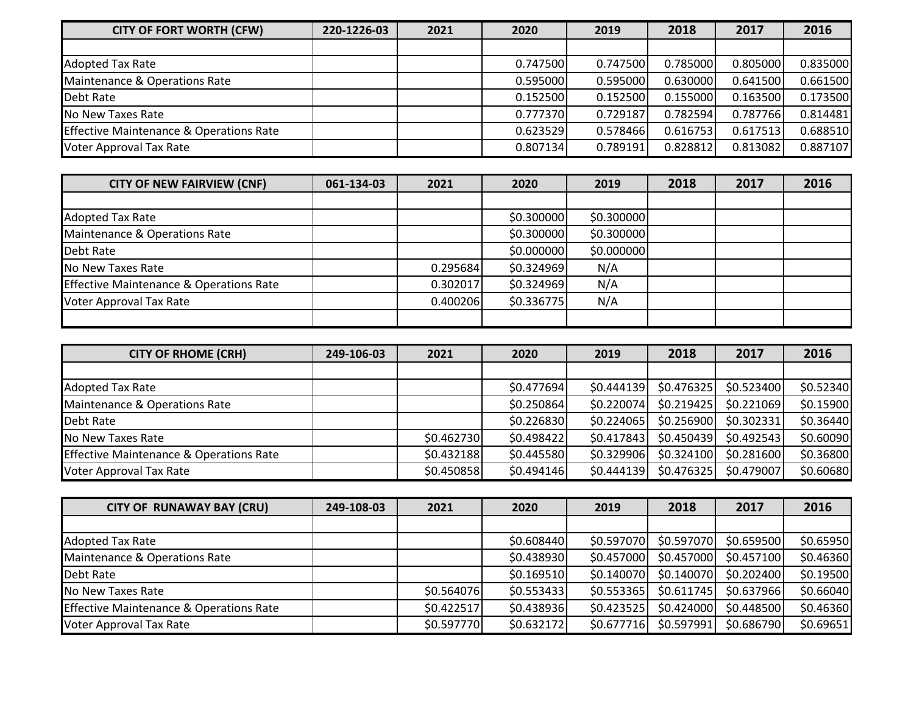| <b>CITY OF FORT WORTH (CFW)</b>                    | 220-1226-03 | 2021 | 2020     | 2019     | 2018     | 2017     | 2016     |
|----------------------------------------------------|-------------|------|----------|----------|----------|----------|----------|
|                                                    |             |      |          |          |          |          |          |
| <b>Adopted Tax Rate</b>                            |             |      | 0.747500 | 0.747500 | 0.785000 | 0.805000 | 0.835000 |
| Maintenance & Operations Rate                      |             |      | 0.595000 | 0.595000 | 0.630000 | 0.641500 | 0.661500 |
| Debt Rate                                          |             |      | 0.152500 | 0.152500 | 0.155000 | 0.163500 | 0.173500 |
| No New Taxes Rate                                  |             |      | 0.777370 | 0.729187 | 0.782594 | 0.787766 | 0.814481 |
| <b>Effective Maintenance &amp; Operations Rate</b> |             |      | 0.623529 | 0.578466 | 0.616753 | 0.617513 | 0.688510 |
| Voter Approval Tax Rate                            |             |      | 0.807134 | 0.789191 | 0.828812 | 0.813082 | 0.887107 |

| <b>CITY OF NEW FAIRVIEW (CNF)</b>                  | 061-134-03 | 2021     | 2020       | 2019       | 2018 | 2017 | 2016 |
|----------------------------------------------------|------------|----------|------------|------------|------|------|------|
|                                                    |            |          |            |            |      |      |      |
| <b>Adopted Tax Rate</b>                            |            |          | \$0.300000 | \$0.300000 |      |      |      |
| Maintenance & Operations Rate                      |            |          | \$0.300000 | \$0.300000 |      |      |      |
| Debt Rate                                          |            |          | \$0.000000 | \$0.000000 |      |      |      |
| No New Taxes Rate                                  |            | 0.295684 | \$0.324969 | N/A        |      |      |      |
| <b>Effective Maintenance &amp; Operations Rate</b> |            | 0.302017 | \$0.324969 | N/A        |      |      |      |
| <b>Voter Approval Tax Rate</b>                     |            | 0.400206 | \$0.336775 | N/A        |      |      |      |
|                                                    |            |          |            |            |      |      |      |

| <b>CITY OF RHOME (CRH)</b>                         | 249-106-03 | 2021       | 2020       | 2019       | 2018       | 2017       | 2016      |
|----------------------------------------------------|------------|------------|------------|------------|------------|------------|-----------|
|                                                    |            |            |            |            |            |            |           |
| <b>Adopted Tax Rate</b>                            |            |            | \$0.477694 | \$0.444139 | \$0.476325 | \$0.523400 | \$0.52340 |
| Maintenance & Operations Rate                      |            |            | \$0.250864 | \$0.220074 | \$0.219425 | \$0.221069 | \$0.15900 |
| Debt Rate                                          |            |            | \$0.226830 | \$0.224065 | \$0.256900 | \$0.302331 | \$0.36440 |
| No New Taxes Rate                                  |            | \$0.462730 | \$0.498422 | \$0.417843 | \$0.450439 | \$0.492543 | \$0.60090 |
| <b>Effective Maintenance &amp; Operations Rate</b> |            | \$0.432188 | \$0.445580 | \$0.329906 | \$0.324100 | \$0.281600 | \$0.36800 |
| Voter Approval Tax Rate                            |            | \$0.450858 | \$0.494146 | \$0.444139 | \$0.476325 | \$0.479007 | \$0.60680 |

| <b>CITY OF RUNAWAY BAY (CRU)</b>                   | 249-108-03 | 2021       | 2020       | 2019       | 2018       | 2017       | 2016      |
|----------------------------------------------------|------------|------------|------------|------------|------------|------------|-----------|
|                                                    |            |            |            |            |            |            |           |
| <b>Adopted Tax Rate</b>                            |            |            | \$0.608440 | \$0.597070 | \$0.597070 | \$0.659500 | \$0.65950 |
| Maintenance & Operations Rate                      |            |            | \$0.438930 | \$0.457000 | \$0.457000 | \$0.457100 | \$0.46360 |
| Debt Rate                                          |            |            | \$0.169510 | \$0.140070 | \$0.140070 | \$0.202400 | \$0.19500 |
| No New Taxes Rate                                  |            | \$0.564076 | \$0.553433 | \$0.553365 | \$0.611745 | \$0.637966 | \$0.66040 |
| <b>Effective Maintenance &amp; Operations Rate</b> |            | \$0.422517 | \$0.438936 | \$0.423525 | \$0.424000 | \$0.448500 | \$0.46360 |
| Voter Approval Tax Rate                            |            | \$0.597770 | \$0.632172 | \$0.677716 | \$0.597991 | \$0.686790 | \$0.69651 |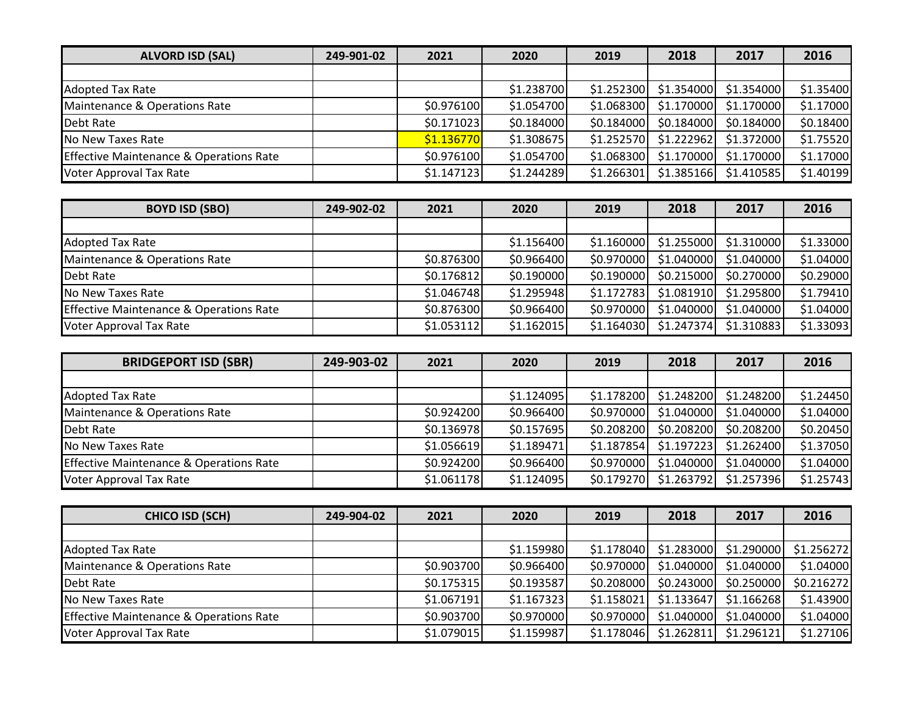| <b>ALVORD ISD (SAL)</b>                            | 249-901-02 | 2021       | 2020       | 2019       | 2018       | 2017       | 2016      |
|----------------------------------------------------|------------|------------|------------|------------|------------|------------|-----------|
|                                                    |            |            |            |            |            |            |           |
| <b>Adopted Tax Rate</b>                            |            |            | \$1.238700 | \$1.252300 | \$1.354000 | \$1.354000 | \$1.35400 |
| Maintenance & Operations Rate                      |            | \$0.976100 | \$1.054700 | \$1.068300 | \$1.170000 | \$1.170000 | \$1.17000 |
| Debt Rate                                          |            | \$0.171023 | \$0.184000 | \$0.184000 | \$0.184000 | \$0.184000 | \$0.18400 |
| No New Taxes Rate                                  |            | \$1.136770 | \$1.308675 | \$1.252570 | \$1.222962 | \$1.372000 | \$1.75520 |
| <b>Effective Maintenance &amp; Operations Rate</b> |            | \$0.976100 | \$1.054700 | \$1.068300 | \$1.170000 | \$1.170000 | \$1.17000 |
| <b>Voter Approval Tax Rate</b>                     |            | \$1.147123 | \$1.244289 | \$1.266301 | \$1.385166 | \$1,410585 | \$1.40199 |

| <b>BOYD ISD (SBO)</b>                              | 249-902-02 | 2021       | 2020       | 2019       | 2018       | 2017       | 2016      |
|----------------------------------------------------|------------|------------|------------|------------|------------|------------|-----------|
|                                                    |            |            |            |            |            |            |           |
| <b>Adopted Tax Rate</b>                            |            |            | \$1.156400 | \$1.160000 | \$1.255000 | \$1.310000 | \$1.33000 |
| Maintenance & Operations Rate                      |            | \$0.876300 | \$0.966400 | \$0.970000 | \$1.040000 | \$1.040000 | \$1.04000 |
| Debt Rate                                          |            | \$0.176812 | \$0.190000 | \$0.190000 | \$0.215000 | \$0.270000 | \$0.29000 |
| No New Taxes Rate                                  |            | \$1.046748 | \$1.295948 | \$1.172783 | \$1.081910 | \$1.295800 | \$1.79410 |
| <b>Effective Maintenance &amp; Operations Rate</b> |            | \$0.876300 | \$0.966400 | \$0.970000 | \$1.040000 | \$1.040000 | \$1.04000 |
| Voter Approval Tax Rate                            |            | \$1.053112 | \$1.162015 | \$1.164030 | \$1.247374 | \$1.310883 | \$1.33093 |

| <b>BRIDGEPORT ISD (SBR)</b>                        | 249-903-02 | 2021       | 2020       | 2019       | 2018       | 2017       | 2016      |
|----------------------------------------------------|------------|------------|------------|------------|------------|------------|-----------|
|                                                    |            |            |            |            |            |            |           |
| <b>Adopted Tax Rate</b>                            |            |            | \$1.124095 | \$1.178200 | \$1.248200 | \$1.248200 | \$1.24450 |
| Maintenance & Operations Rate                      |            | \$0.924200 | \$0.966400 | \$0.970000 | \$1.040000 | \$1.040000 | \$1.04000 |
| Debt Rate                                          |            | \$0.136978 | \$0.157695 | \$0.208200 | \$0.208200 | \$0.208200 | \$0.20450 |
| No New Taxes Rate                                  |            | \$1.056619 | \$1.189471 | \$1.187854 | \$1.197223 | \$1.262400 | \$1.37050 |
| <b>Effective Maintenance &amp; Operations Rate</b> |            | \$0.924200 | \$0.966400 | \$0.970000 | \$1.040000 | \$1.040000 | \$1.04000 |
| Voter Approval Tax Rate                            |            | \$1.061178 | \$1.124095 | \$0.179270 | \$1.263792 | \$1.257396 | \$1.25743 |

| <b>CHICO ISD (SCH)</b>                             | 249-904-02 | 2021       | 2020       | 2019       | 2018       | 2017       | 2016       |
|----------------------------------------------------|------------|------------|------------|------------|------------|------------|------------|
|                                                    |            |            |            |            |            |            |            |
| <b>Adopted Tax Rate</b>                            |            |            | \$1.159980 | \$1.178040 | \$1.283000 | \$1.290000 | \$1.256272 |
| Maintenance & Operations Rate                      |            | \$0.903700 | \$0.966400 | \$0.970000 | \$1.040000 | \$1.040000 | \$1.04000  |
| Debt Rate                                          |            | \$0.175315 | \$0.193587 | \$0.208000 | \$0.243000 | \$0.250000 | \$0.216272 |
| No New Taxes Rate                                  |            | \$1.067191 | \$1.167323 | \$1.158021 | \$1.133647 | \$1.166268 | \$1.43900  |
| <b>Effective Maintenance &amp; Operations Rate</b> |            | \$0.903700 | \$0.970000 | \$0.970000 | \$1.040000 | \$1.040000 | \$1.04000  |
| Voter Approval Tax Rate                            |            | \$1.079015 | \$1.159987 | \$1.178046 | \$1.262811 | \$1.296121 | \$1.27106  |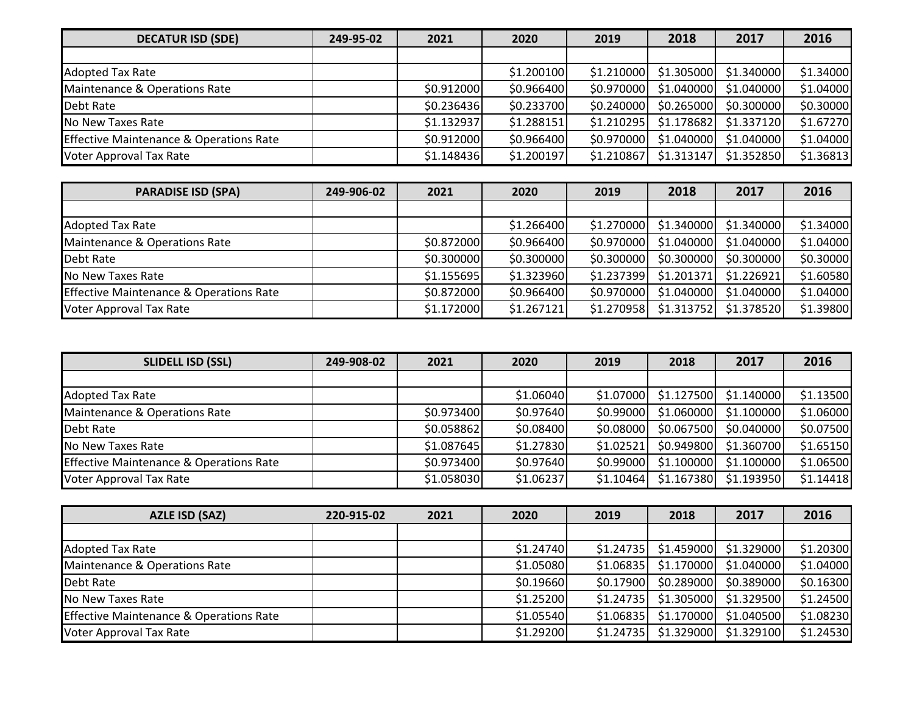| <b>DECATUR ISD (SDE)</b>                           | 249-95-02 | 2021       | 2020       | 2019       | 2018       | 2017       | 2016      |
|----------------------------------------------------|-----------|------------|------------|------------|------------|------------|-----------|
|                                                    |           |            |            |            |            |            |           |
| <b>Adopted Tax Rate</b>                            |           |            | \$1.200100 | \$1.210000 | \$1.305000 | \$1.340000 | \$1.34000 |
| Maintenance & Operations Rate                      |           | \$0.912000 | \$0.966400 | \$0.970000 | \$1.040000 | \$1.040000 | \$1.04000 |
| Debt Rate                                          |           | \$0.236436 | \$0.233700 | \$0.240000 | \$0.265000 | \$0.300000 | \$0.30000 |
| No New Taxes Rate                                  |           | \$1.132937 | \$1.288151 | \$1.210295 | \$1.178682 | \$1.337120 | \$1.67270 |
| <b>Effective Maintenance &amp; Operations Rate</b> |           | \$0.912000 | \$0.966400 | \$0.970000 | \$1.040000 | \$1.040000 | \$1.04000 |
| <b>Voter Approval Tax Rate</b>                     |           | \$1.148436 | \$1.200197 | \$1.210867 | \$1.313147 | \$1.352850 | \$1.36813 |

| <b>PARADISE ISD (SPA)</b>                          | 249-906-02 | 2021       | 2020       | 2019       | 2018       | 2017       | 2016      |
|----------------------------------------------------|------------|------------|------------|------------|------------|------------|-----------|
|                                                    |            |            |            |            |            |            |           |
| <b>Adopted Tax Rate</b>                            |            |            | \$1.266400 | \$1.270000 | \$1.340000 | \$1.340000 | \$1.34000 |
| Maintenance & Operations Rate                      |            | \$0.872000 | \$0.966400 | \$0.970000 | \$1.040000 | \$1.040000 | \$1.04000 |
| Debt Rate                                          |            | \$0.300000 | \$0.300000 | \$0.300000 | \$0.300000 | \$0.300000 | \$0.30000 |
| No New Taxes Rate                                  |            | \$1.155695 | \$1.323960 | \$1.237399 | \$1.201371 | \$1.226921 | \$1.60580 |
| <b>Effective Maintenance &amp; Operations Rate</b> |            | \$0.872000 | \$0.966400 | \$0.970000 | \$1.040000 | \$1.040000 | \$1.04000 |
| Voter Approval Tax Rate                            |            | \$1.172000 | \$1.267121 | \$1.270958 | \$1.313752 | \$1.378520 | \$1.39800 |

| <b>SLIDELL ISD (SSL)</b>                           | 249-908-02 | 2021       | 2020      | 2019      | 2018       | 2017       | 2016      |
|----------------------------------------------------|------------|------------|-----------|-----------|------------|------------|-----------|
|                                                    |            |            |           |           |            |            |           |
| <b>Adopted Tax Rate</b>                            |            |            | \$1.06040 | \$1.07000 | \$1.127500 | \$1.140000 | \$1.13500 |
| Maintenance & Operations Rate                      |            | \$0.973400 | \$0.97640 | \$0.99000 | \$1.060000 | \$1.100000 | \$1.06000 |
| Debt Rate                                          |            | \$0.058862 | \$0.08400 | \$0.08000 | \$0.067500 | \$0.040000 | \$0.07500 |
| No New Taxes Rate                                  |            | \$1.087645 | \$1.27830 | \$1.02521 | \$0.949800 | \$1.360700 | \$1.65150 |
| <b>Effective Maintenance &amp; Operations Rate</b> |            | \$0.973400 | \$0.97640 | \$0.99000 | \$1.100000 | \$1.100000 | \$1.06500 |
| <b>Voter Approval Tax Rate</b>                     |            | \$1.058030 | \$1.06237 | \$1.10464 | \$1.167380 | \$1.193950 | \$1.14418 |

| <b>AZLE ISD (SAZ)</b>                              | 220-915-02 | 2021 | 2020      | 2019      | 2018       | 2017       | 2016      |
|----------------------------------------------------|------------|------|-----------|-----------|------------|------------|-----------|
|                                                    |            |      |           |           |            |            |           |
| <b>Adopted Tax Rate</b>                            |            |      | \$1.24740 | \$1.24735 | \$1.459000 | \$1.329000 | \$1.20300 |
| Maintenance & Operations Rate                      |            |      | \$1.05080 | \$1.06835 | \$1.170000 | \$1.040000 | \$1.04000 |
| Debt Rate                                          |            |      | \$0.19660 | \$0.17900 | \$0.289000 | \$0.389000 | \$0.16300 |
| No New Taxes Rate                                  |            |      | \$1.25200 | \$1.24735 | \$1.305000 | \$1.329500 | \$1.24500 |
| <b>Effective Maintenance &amp; Operations Rate</b> |            |      | \$1.05540 | \$1.06835 | \$1.170000 | \$1.040500 | \$1.08230 |
| Voter Approval Tax Rate                            |            |      | \$1.29200 | \$1.24735 | \$1.329000 | \$1.329100 | \$1.24530 |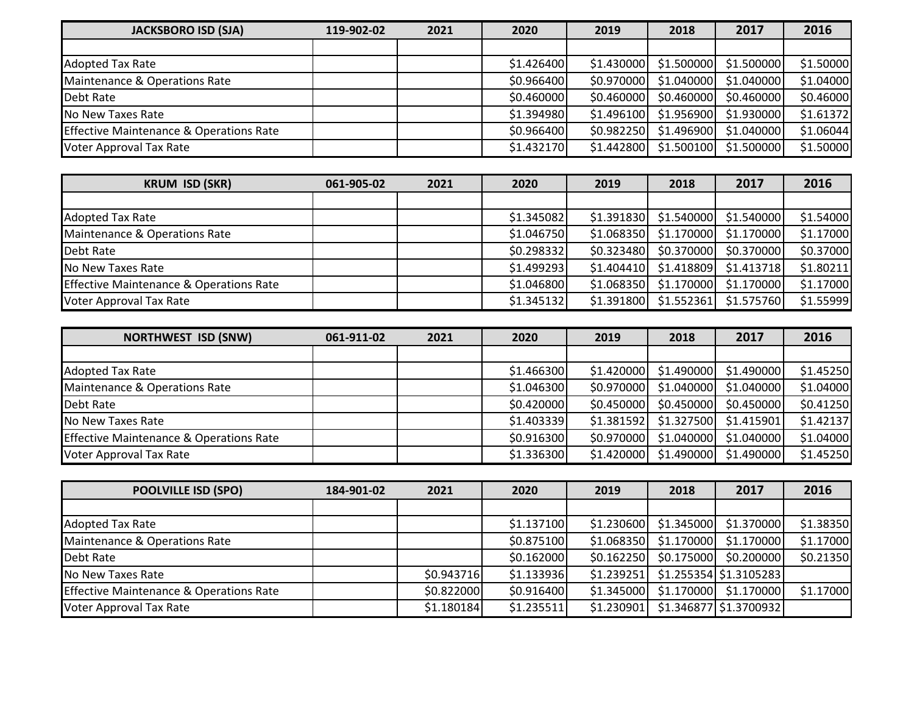| <b>JACKSBORO ISD (SJA)</b>                         | 119-902-02 | 2021 | 2020       | 2019       | 2018       | 2017       | 2016      |
|----------------------------------------------------|------------|------|------------|------------|------------|------------|-----------|
|                                                    |            |      |            |            |            |            |           |
| <b>Adopted Tax Rate</b>                            |            |      | \$1.426400 | \$1.430000 | \$1.500000 | \$1.500000 | \$1.50000 |
| Maintenance & Operations Rate                      |            |      | \$0.966400 | \$0.970000 | \$1.040000 | \$1.040000 | \$1.04000 |
| Debt Rate                                          |            |      | \$0.460000 | \$0.460000 | \$0.460000 | \$0.460000 | \$0.46000 |
| No New Taxes Rate                                  |            |      | \$1.394980 | \$1.496100 | \$1.956900 | \$1.930000 | \$1.61372 |
| <b>Effective Maintenance &amp; Operations Rate</b> |            |      | \$0.966400 | \$0.982250 | \$1.496900 | \$1.040000 | \$1.06044 |
| <b>Voter Approval Tax Rate</b>                     |            |      | \$1.432170 | \$1.442800 | \$1.500100 | \$1.500000 | \$1.50000 |

| <b>KRUM ISD (SKR)</b>                              | 061-905-02 | 2021 | 2020       | 2019       | 2018       | 2017       | 2016      |
|----------------------------------------------------|------------|------|------------|------------|------------|------------|-----------|
|                                                    |            |      |            |            |            |            |           |
| <b>Adopted Tax Rate</b>                            |            |      | \$1.345082 | \$1.391830 | \$1.540000 | \$1.540000 | \$1.54000 |
| Maintenance & Operations Rate                      |            |      | \$1.046750 | \$1.068350 | \$1.170000 | \$1.170000 | \$1.17000 |
| Debt Rate                                          |            |      | \$0.298332 | \$0.323480 | \$0.370000 | \$0.370000 | \$0.37000 |
| No New Taxes Rate                                  |            |      | \$1.499293 | \$1.404410 | \$1.418809 | \$1.413718 | \$1.80211 |
| <b>Effective Maintenance &amp; Operations Rate</b> |            |      | \$1.046800 | \$1.068350 | \$1.170000 | \$1.170000 | \$1.17000 |
| Voter Approval Tax Rate                            |            |      | \$1.345132 | \$1.391800 | \$1.552361 | \$1.575760 | \$1.55999 |

| <b>NORTHWEST ISD (SNW)</b>                         | 061-911-02 | 2021 | 2020       | 2019       | 2018       | 2017       | 2016      |
|----------------------------------------------------|------------|------|------------|------------|------------|------------|-----------|
|                                                    |            |      |            |            |            |            |           |
| <b>Adopted Tax Rate</b>                            |            |      | \$1.466300 | \$1.420000 | \$1.490000 | \$1.490000 | \$1.45250 |
| Maintenance & Operations Rate                      |            |      | \$1.046300 | \$0.970000 | \$1.040000 | \$1.040000 | \$1.04000 |
| Debt Rate                                          |            |      | \$0.420000 | \$0.450000 | \$0.450000 | \$0.450000 | \$0.41250 |
| No New Taxes Rate                                  |            |      | \$1.403339 | \$1.381592 | \$1.327500 | \$1.415901 | \$1.42137 |
| <b>Effective Maintenance &amp; Operations Rate</b> |            |      | \$0.916300 | \$0.970000 | \$1.040000 | \$1.040000 | \$1.04000 |
| Voter Approval Tax Rate                            |            |      | \$1.336300 | \$1.420000 | \$1.490000 | \$1.490000 | \$1.45250 |

| <b>POOLVILLE ISD (SPO)</b>                         | 184-901-02 | 2021       | 2020       | 2019       | 2018       | 2017                     | 2016      |
|----------------------------------------------------|------------|------------|------------|------------|------------|--------------------------|-----------|
|                                                    |            |            |            |            |            |                          |           |
| <b>Adopted Tax Rate</b>                            |            |            | \$1.137100 | \$1.230600 | \$1.345000 | \$1.370000               | \$1.38350 |
| Maintenance & Operations Rate                      |            |            | \$0.875100 | \$1.068350 | \$1.170000 | \$1.170000               | \$1.17000 |
| Debt Rate                                          |            |            | \$0.162000 | \$0.162250 | \$0.175000 | \$0.200000               | \$0.21350 |
| No New Taxes Rate                                  |            | \$0.943716 | \$1.133936 | \$1.239251 |            | $$1.255354$ $$1.3105283$ |           |
| <b>Effective Maintenance &amp; Operations Rate</b> |            | \$0.822000 | \$0.916400 | \$1.345000 | \$1.170000 | \$1.170000               | \$1.17000 |
| Voter Approval Tax Rate                            |            | \$1.180184 | \$1.235511 | \$1.230901 |            | $$1.346877$ $$1.3700932$ |           |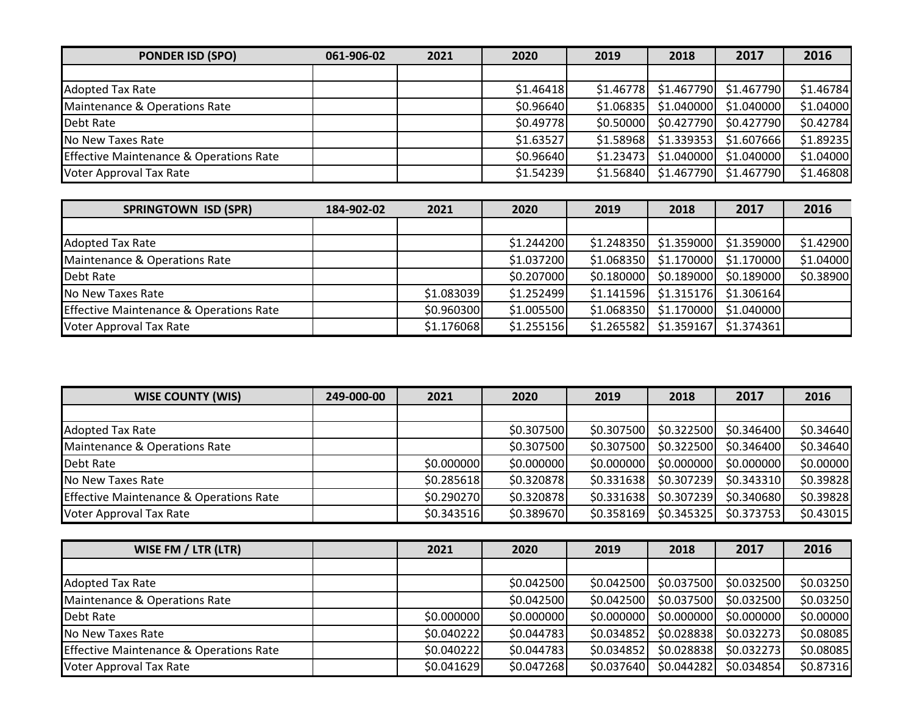| <b>PONDER ISD (SPO)</b>                            | 061-906-02 | 2021 | 2020      | 2019      | 2018                   | 2017       | 2016      |
|----------------------------------------------------|------------|------|-----------|-----------|------------------------|------------|-----------|
|                                                    |            |      |           |           |                        |            |           |
| <b>Adopted Tax Rate</b>                            |            |      | \$1.46418 |           | $$1.46778$ $$1.467790$ | \$1.467790 | \$1.46784 |
| Maintenance & Operations Rate                      |            |      | \$0.96640 | \$1.06835 | \$1.040000             | \$1.040000 | \$1.04000 |
| Debt Rate                                          |            |      | \$0.49778 | \$0.50000 | \$0.427790             | \$0.427790 | \$0.42784 |
| No New Taxes Rate                                  |            |      | \$1.63527 | \$1.58968 | \$1.339353             | \$1.607666 | \$1.89235 |
| <b>Effective Maintenance &amp; Operations Rate</b> |            |      | \$0.96640 | \$1.23473 | \$1.040000             | \$1.040000 | \$1.04000 |
| <b>Voter Approval Tax Rate</b>                     |            |      | \$1.54239 |           | \$1.56840 \$1.467790   | \$1.467790 | \$1.46808 |

| <b>SPRINGTOWN ISD (SPR)</b>                        | 184-902-02 | 2021       | 2020       | 2019       | 2018       | 2017        | 2016      |
|----------------------------------------------------|------------|------------|------------|------------|------------|-------------|-----------|
|                                                    |            |            |            |            |            |             |           |
| <b>Adopted Tax Rate</b>                            |            |            | \$1.244200 | \$1.248350 | \$1.359000 | \$1.359000  | \$1.42900 |
| Maintenance & Operations Rate                      |            |            | \$1.037200 | \$1.068350 | \$1.170000 | \$1.170000  | \$1.04000 |
| Debt Rate                                          |            |            | \$0.207000 | \$0.180000 | \$0.189000 | \$0.189000  | \$0.38900 |
| No New Taxes Rate                                  |            | \$1.083039 | \$1.252499 | \$1.141596 | \$1.315176 | \$1.306164] |           |
| <b>Effective Maintenance &amp; Operations Rate</b> |            | \$0.960300 | \$1.005500 | \$1.068350 | \$1.170000 | \$1.040000  |           |
| Voter Approval Tax Rate                            |            | \$1.176068 | \$1.255156 | \$1.265582 | \$1.359167 | \$1.374361  |           |

| <b>WISE COUNTY (WIS)</b>                           | 249-000-00 | 2021       | 2020       | 2019       | 2018       | 2017       | 2016      |
|----------------------------------------------------|------------|------------|------------|------------|------------|------------|-----------|
|                                                    |            |            |            |            |            |            |           |
| <b>Adopted Tax Rate</b>                            |            |            | \$0.307500 | \$0.307500 | \$0.322500 | \$0.346400 | \$0.34640 |
| Maintenance & Operations Rate                      |            |            | \$0.307500 | \$0.307500 | \$0.322500 | \$0.346400 | \$0.34640 |
| Debt Rate                                          |            | \$0.000000 | \$0.000000 | \$0.000000 | \$0.000000 | \$0.000000 | \$0.00000 |
| No New Taxes Rate                                  |            | \$0.285618 | \$0.320878 | \$0.331638 | \$0.307239 | \$0.343310 | \$0.39828 |
| <b>Effective Maintenance &amp; Operations Rate</b> |            | \$0.290270 | \$0.320878 | \$0.331638 | \$0.307239 | \$0.340680 | \$0.39828 |
| <b>Voter Approval Tax Rate</b>                     |            | \$0.343516 | \$0.389670 | \$0.358169 | \$0.345325 | \$0.373753 | \$0.43015 |

| WISE FM / LTR (LTR)                                | 2021       | 2020       | 2019       | 2018       | 2017        | 2016      |
|----------------------------------------------------|------------|------------|------------|------------|-------------|-----------|
|                                                    |            |            |            |            |             |           |
| <b>Adopted Tax Rate</b>                            |            | \$0.042500 | \$0.042500 | \$0.037500 | \$0.032500  | \$0.03250 |
| Maintenance & Operations Rate                      |            | \$0.042500 | \$0.042500 | \$0.037500 | \$0.032500  | \$0.03250 |
| Debt Rate                                          | \$0.000000 | \$0.000000 | \$0.000000 | \$0.000000 | \$0.000000  | \$0.00000 |
| No New Taxes Rate                                  | \$0.040222 | \$0.044783 | \$0.034852 | \$0.028838 | \$0.032273] | \$0.08085 |
| <b>Effective Maintenance &amp; Operations Rate</b> | \$0.040222 | \$0.044783 | \$0.034852 | \$0.028838 | \$0.032273] | \$0.08085 |
| Voter Approval Tax Rate                            | \$0.041629 | \$0.047268 | \$0.037640 | \$0.044282 | \$0.034854  | \$0.87316 |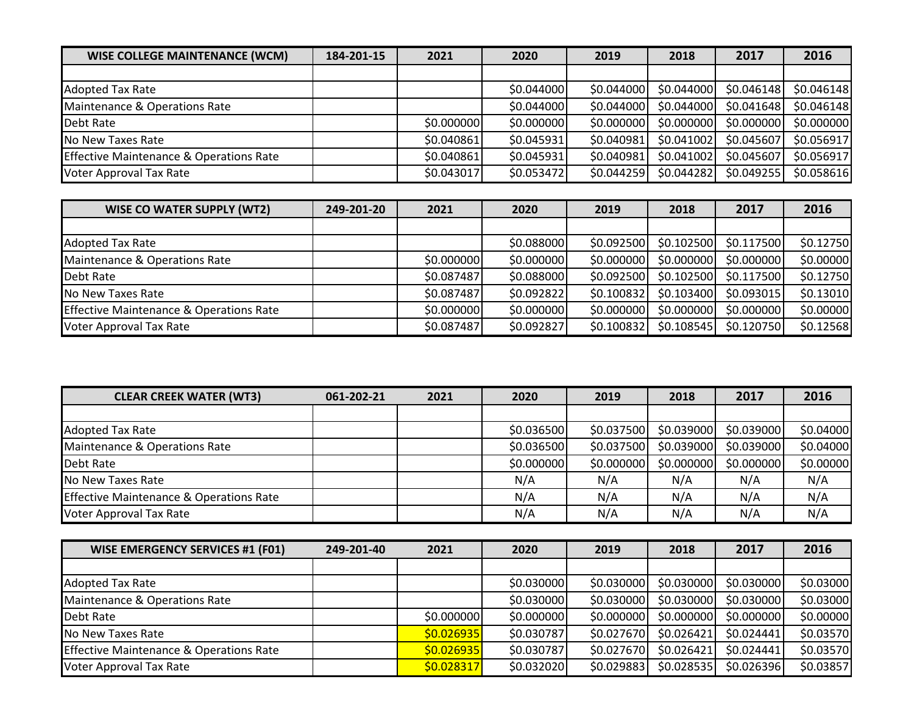| <b>WISE COLLEGE MAINTENANCE (WCM)</b>              | 184-201-15 | 2021       | 2020       | 2019       | 2018       | 2017       | 2016       |
|----------------------------------------------------|------------|------------|------------|------------|------------|------------|------------|
|                                                    |            |            |            |            |            |            |            |
| <b>Adopted Tax Rate</b>                            |            |            | \$0.044000 | \$0.044000 | \$0.044000 | \$0.046148 | \$0.046148 |
| Maintenance & Operations Rate                      |            |            | \$0.044000 | \$0.044000 | \$0.044000 | \$0.041648 | \$0.046148 |
| Debt Rate                                          |            | \$0.000000 | \$0.000000 | \$0.000000 | \$0.000000 | \$0.000000 | \$0.000000 |
| No New Taxes Rate                                  |            | \$0.040861 | \$0.045931 | \$0.040981 | \$0.041002 | \$0.045607 | \$0.056917 |
| <b>Effective Maintenance &amp; Operations Rate</b> |            | \$0.040861 | \$0.045931 | \$0.040981 | \$0.041002 | \$0.045607 | \$0.056917 |
| <b>Voter Approval Tax Rate</b>                     |            | \$0.043017 | \$0.053472 | \$0.044259 | \$0.044282 | \$0.049255 | \$0.058616 |

| <b>WISE CO WATER SUPPLY (WT2)</b>                  | 249-201-20 | 2021       | 2020       | 2019       | 2018       | 2017       | 2016      |
|----------------------------------------------------|------------|------------|------------|------------|------------|------------|-----------|
|                                                    |            |            |            |            |            |            |           |
| <b>Adopted Tax Rate</b>                            |            |            | \$0.088000 | \$0.092500 | \$0.102500 | \$0.117500 | \$0.12750 |
| Maintenance & Operations Rate                      |            | \$0.000000 | \$0.000000 | \$0.000000 | \$0.000000 | \$0.000000 | \$0.00000 |
| Debt Rate                                          |            | \$0.087487 | \$0.088000 | \$0.092500 | \$0.102500 | \$0.117500 | \$0.12750 |
| No New Taxes Rate                                  |            | \$0.087487 | \$0.092822 | \$0.100832 | \$0.103400 | \$0.093015 | \$0.13010 |
| <b>Effective Maintenance &amp; Operations Rate</b> |            | \$0.000000 | \$0.000000 | \$0.000000 | \$0.000000 | \$0.000000 | \$0.00000 |
| Voter Approval Tax Rate                            |            | \$0.087487 | \$0.092827 | \$0.100832 | \$0.108545 | \$0.120750 | \$0.12568 |

| <b>CLEAR CREEK WATER (WT3)</b>                     | 061-202-21 | 2021 | 2020       | 2019       | 2018       | 2017       | 2016      |
|----------------------------------------------------|------------|------|------------|------------|------------|------------|-----------|
|                                                    |            |      |            |            |            |            |           |
| <b>Adopted Tax Rate</b>                            |            |      | \$0.036500 | \$0.037500 | \$0.039000 | \$0.039000 | \$0.04000 |
| Maintenance & Operations Rate                      |            |      | \$0.036500 | \$0.037500 | \$0.039000 | \$0.039000 | \$0.04000 |
| Debt Rate                                          |            |      | \$0.000000 | \$0.000000 | \$0.000000 | \$0.000000 | \$0.00000 |
| No New Taxes Rate                                  |            |      | N/A        | N/A        | N/A        | N/A        | N/A       |
| <b>Effective Maintenance &amp; Operations Rate</b> |            |      | N/A        | N/A        | N/A        | N/A        | N/A       |
| <b>Voter Approval Tax Rate</b>                     |            |      | N/A        | N/A        | N/A        | N/A        | N/A       |

| <b>WISE EMERGENCY SERVICES #1 (F01)</b>            | 249-201-40 | 2021       | 2020       | 2019       | 2018       | 2017       | 2016      |
|----------------------------------------------------|------------|------------|------------|------------|------------|------------|-----------|
|                                                    |            |            |            |            |            |            |           |
| <b>Adopted Tax Rate</b>                            |            |            | \$0.030000 | \$0.030000 | \$0.030000 | \$0.030000 | \$0.03000 |
| Maintenance & Operations Rate                      |            |            | \$0.030000 | \$0.030000 | \$0.030000 | \$0.030000 | \$0.03000 |
| Debt Rate                                          |            | \$0.000000 | \$0.000000 | \$0.000000 | \$0.000000 | \$0.000000 | \$0.00000 |
| No New Taxes Rate                                  |            | \$0.026935 | \$0.030787 | \$0.027670 | \$0.026421 | \$0.024441 | \$0.03570 |
| <b>Effective Maintenance &amp; Operations Rate</b> |            | \$0.026935 | \$0.030787 | \$0.027670 | \$0.026421 | \$0.024441 | \$0.03570 |
| Voter Approval Tax Rate                            |            | \$0.028317 | \$0.032020 | \$0.029883 | \$0.028535 | \$0.026396 | \$0.03857 |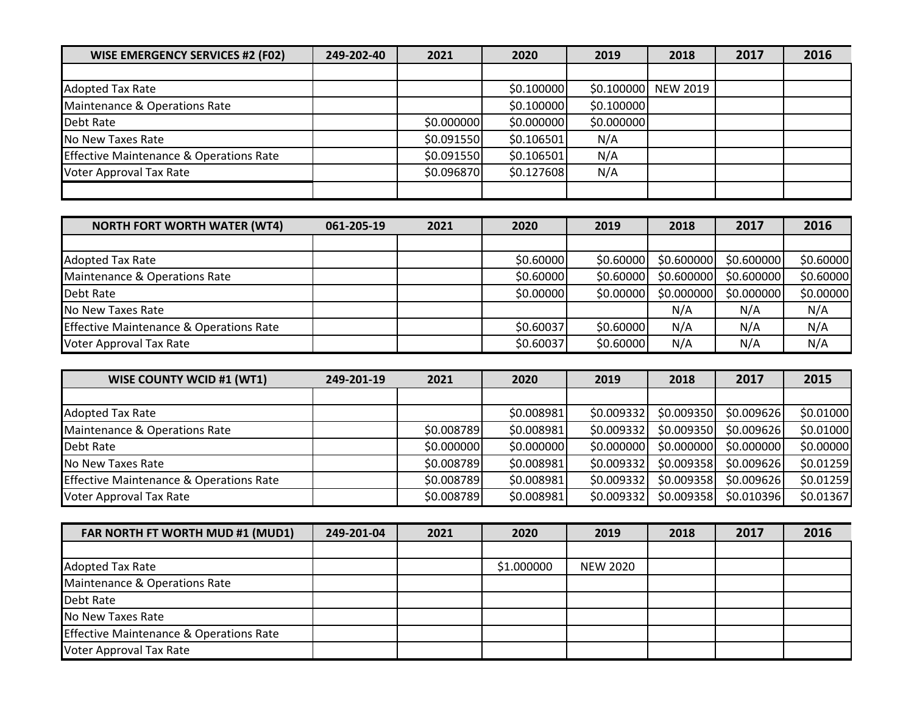| <b>WISE EMERGENCY SERVICES #2 (F02)</b>            | 249-202-40 | 2021       | 2020       | 2019       | 2018                | 2017 | 2016 |
|----------------------------------------------------|------------|------------|------------|------------|---------------------|------|------|
|                                                    |            |            |            |            |                     |      |      |
| <b>Adopted Tax Rate</b>                            |            |            | \$0.100000 |            | \$0.100000 NEW 2019 |      |      |
| Maintenance & Operations Rate                      |            |            | \$0.100000 | \$0.100000 |                     |      |      |
| Debt Rate                                          |            | \$0.000000 | \$0.000000 | \$0.000000 |                     |      |      |
| No New Taxes Rate                                  |            | \$0.091550 | \$0.106501 | N/A        |                     |      |      |
| <b>Effective Maintenance &amp; Operations Rate</b> |            | \$0.091550 | \$0.106501 | N/A        |                     |      |      |
| <b>Voter Approval Tax Rate</b>                     |            | \$0.096870 | \$0.127608 | N/A        |                     |      |      |
|                                                    |            |            |            |            |                     |      |      |

| <b>NORTH FORT WORTH WATER (WT4)</b>                | 061-205-19 | 2021 | 2020      | 2019      | 2018       | 2017       | 2016      |
|----------------------------------------------------|------------|------|-----------|-----------|------------|------------|-----------|
|                                                    |            |      |           |           |            |            |           |
| <b>Adopted Tax Rate</b>                            |            |      | \$0.60000 | \$0.60000 | \$0.600000 | \$0.600000 | \$0.60000 |
| Maintenance & Operations Rate                      |            |      | \$0.60000 | \$0.60000 | \$0.600000 | \$0.600000 | \$0.60000 |
| Debt Rate                                          |            |      | \$0.00000 | \$0.00000 | \$0.000000 | \$0.000000 | \$0.00000 |
| No New Taxes Rate                                  |            |      |           |           | N/A        | N/A        | N/A       |
| <b>Effective Maintenance &amp; Operations Rate</b> |            |      | \$0.60037 | \$0.60000 | N/A        | N/A        | N/A       |
| Voter Approval Tax Rate                            |            |      | \$0.60037 | \$0.60000 | N/A        | N/A        | N/A       |

| <b>WISE COUNTY WCID #1 (WT1)</b>                   | 249-201-19 | 2021       | 2020       | 2019       | 2018       | 2017        | 2015      |
|----------------------------------------------------|------------|------------|------------|------------|------------|-------------|-----------|
|                                                    |            |            |            |            |            |             |           |
| <b>Adopted Tax Rate</b>                            |            |            | \$0.008981 | \$0.009332 | \$0.009350 | \$0.009626] | \$0.01000 |
| Maintenance & Operations Rate                      |            | \$0.008789 | \$0.008981 | \$0.009332 | \$0.009350 | \$0.009626  | \$0.01000 |
| Debt Rate                                          |            | \$0.000000 | \$0.000000 | \$0.000000 | \$0.000000 | \$0.000000  | \$0.00000 |
| No New Taxes Rate                                  |            | \$0.008789 | \$0.008981 | \$0.009332 | \$0.009358 | \$0.009626] | \$0.01259 |
| <b>Effective Maintenance &amp; Operations Rate</b> |            | \$0.008789 | \$0.008981 | \$0.009332 | \$0.009358 | \$0.009626  | \$0.01259 |
| Voter Approval Tax Rate                            |            | \$0.008789 | \$0.008981 | \$0.009332 | \$0.009358 | \$0.010396  | \$0.01367 |

| FAR NORTH FT WORTH MUD #1 (MUD1)                   | 249-201-04 | 2021 | 2020       | 2019            | 2018 | 2017 | 2016 |
|----------------------------------------------------|------------|------|------------|-----------------|------|------|------|
|                                                    |            |      |            |                 |      |      |      |
| <b>Adopted Tax Rate</b>                            |            |      | \$1.000000 | <b>NEW 2020</b> |      |      |      |
| Maintenance & Operations Rate                      |            |      |            |                 |      |      |      |
| Debt Rate                                          |            |      |            |                 |      |      |      |
| No New Taxes Rate                                  |            |      |            |                 |      |      |      |
| <b>Effective Maintenance &amp; Operations Rate</b> |            |      |            |                 |      |      |      |
| Voter Approval Tax Rate                            |            |      |            |                 |      |      |      |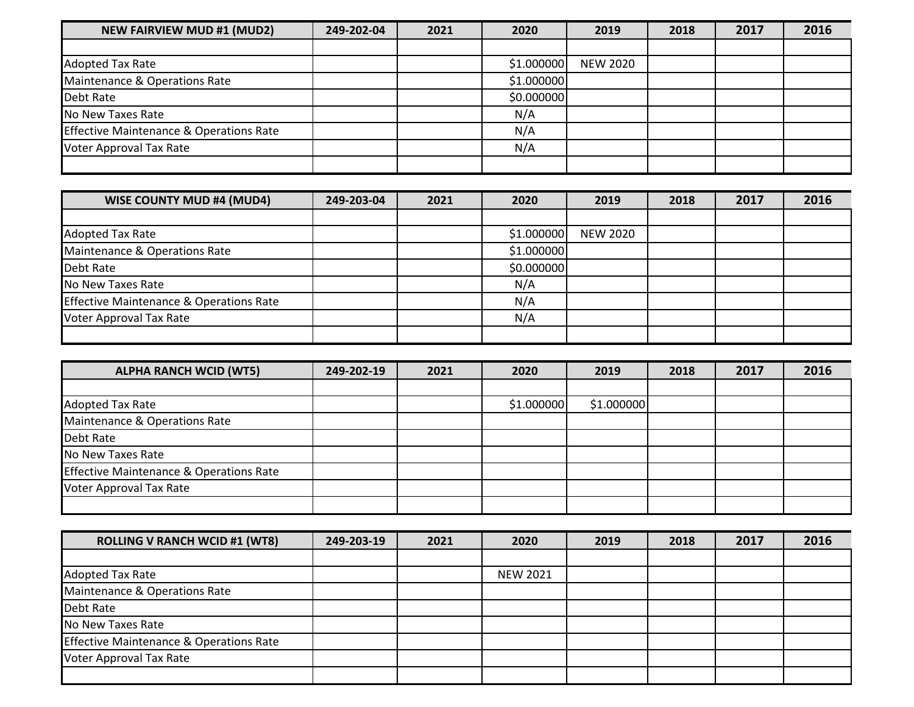| <b>NEW FAIRVIEW MUD #1 (MUD2)</b>       | 249-202-04 | 2021 | 2020       | 2019            | 2018 | 2017 | 2016 |
|-----------------------------------------|------------|------|------------|-----------------|------|------|------|
|                                         |            |      |            |                 |      |      |      |
| <b>Adopted Tax Rate</b>                 |            |      | \$1.000000 | <b>NEW 2020</b> |      |      |      |
| Maintenance & Operations Rate           |            |      | \$1.000000 |                 |      |      |      |
| Debt Rate                               |            |      | \$0.000000 |                 |      |      |      |
| No New Taxes Rate                       |            |      | N/A        |                 |      |      |      |
| Effective Maintenance & Operations Rate |            |      | N/A        |                 |      |      |      |
| Voter Approval Tax Rate                 |            |      | N/A        |                 |      |      |      |
|                                         |            |      |            |                 |      |      |      |

| <b>WISE COUNTY MUD #4 (MUD4)</b>                   | 249-203-04 | 2021 | 2020       | 2019            | 2018 | 2017 | 2016 |
|----------------------------------------------------|------------|------|------------|-----------------|------|------|------|
|                                                    |            |      |            |                 |      |      |      |
| <b>Adopted Tax Rate</b>                            |            |      | \$1.000000 | <b>NEW 2020</b> |      |      |      |
| Maintenance & Operations Rate                      |            |      | \$1.000000 |                 |      |      |      |
| Debt Rate                                          |            |      | \$0.000000 |                 |      |      |      |
| No New Taxes Rate                                  |            |      | N/A        |                 |      |      |      |
| <b>Effective Maintenance &amp; Operations Rate</b> |            |      | N/A        |                 |      |      |      |
| Voter Approval Tax Rate                            |            |      | N/A        |                 |      |      |      |
|                                                    |            |      |            |                 |      |      |      |

| <b>ALPHA RANCH WCID (WT5)</b>                      | 249-202-19 | 2021 | 2020       | 2019       | 2018 | 2017 | 2016 |
|----------------------------------------------------|------------|------|------------|------------|------|------|------|
|                                                    |            |      |            |            |      |      |      |
| Adopted Tax Rate                                   |            |      | \$1.000000 | \$1.000000 |      |      |      |
| Maintenance & Operations Rate                      |            |      |            |            |      |      |      |
| Debt Rate                                          |            |      |            |            |      |      |      |
| No New Taxes Rate                                  |            |      |            |            |      |      |      |
| <b>Effective Maintenance &amp; Operations Rate</b> |            |      |            |            |      |      |      |
| Voter Approval Tax Rate                            |            |      |            |            |      |      |      |
|                                                    |            |      |            |            |      |      |      |

| <b>ROLLING V RANCH WCID #1 (WT8)</b>               | 249-203-19 | 2021 | 2020            | 2019 | 2018 | 2017 | 2016 |
|----------------------------------------------------|------------|------|-----------------|------|------|------|------|
|                                                    |            |      |                 |      |      |      |      |
| <b>Adopted Tax Rate</b>                            |            |      | <b>NEW 2021</b> |      |      |      |      |
| Maintenance & Operations Rate                      |            |      |                 |      |      |      |      |
| Debt Rate                                          |            |      |                 |      |      |      |      |
| No New Taxes Rate                                  |            |      |                 |      |      |      |      |
| <b>Effective Maintenance &amp; Operations Rate</b> |            |      |                 |      |      |      |      |
| Voter Approval Tax Rate                            |            |      |                 |      |      |      |      |
|                                                    |            |      |                 |      |      |      |      |